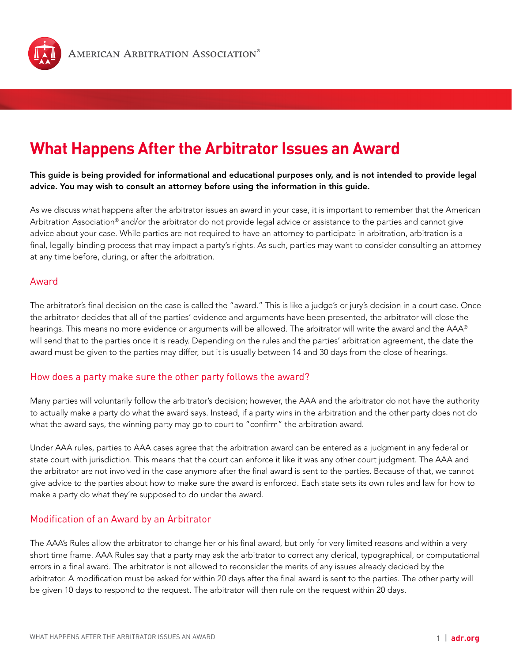

# **What Happens After the Arbitrator Issues an Award**

This guide is being provided for informational and educational purposes only, and is not intended to provide legal advice. You may wish to consult an attorney before using the information in this guide.

As we discuss what happens after the arbitrator issues an award in your case, it is important to remember that the American Arbitration Association® and/or the arbitrator do not provide legal advice or assistance to the parties and cannot give advice about your case. While parties are not required to have an attorney to participate in arbitration, arbitration is a final, legally-binding process that may impact a party's rights. As such, parties may want to consider consulting an attorney at any time before, during, or after the arbitration.

#### Award

The arbitrator's final decision on the case is called the "award." This is like a judge's or jury's decision in a court case. Once the arbitrator decides that all of the parties' evidence and arguments have been presented, the arbitrator will close the hearings. This means no more evidence or arguments will be allowed. The arbitrator will write the award and the AAA® will send that to the parties once it is ready. Depending on the rules and the parties' arbitration agreement, the date the award must be given to the parties may differ, but it is usually between 14 and 30 days from the close of hearings.

### How does a party make sure the other party follows the award?

Many parties will voluntarily follow the arbitrator's decision; however, the AAA and the arbitrator do not have the authority to actually make a party do what the award says. Instead, if a party wins in the arbitration and the other party does not do what the award says, the winning party may go to court to "confirm" the arbitration award.

Under AAA rules, parties to AAA cases agree that the arbitration award can be entered as a judgment in any federal or state court with jurisdiction. This means that the court can enforce it like it was any other court judgment. The AAA and the arbitrator are not involved in the case anymore after the final award is sent to the parties. Because of that, we cannot give advice to the parties about how to make sure the award is enforced. Each state sets its own rules and law for how to make a party do what they're supposed to do under the award.

### Modification of an Award by an Arbitrator

The AAA's Rules allow the arbitrator to change her or his final award, but only for very limited reasons and within a very short time frame. AAA Rules say that a party may ask the arbitrator to correct any clerical, typographical, or computational errors in a final award. The arbitrator is not allowed to reconsider the merits of any issues already decided by the arbitrator. A modification must be asked for within 20 days after the final award is sent to the parties. The other party will be given 10 days to respond to the request. The arbitrator will then rule on the request within 20 days.